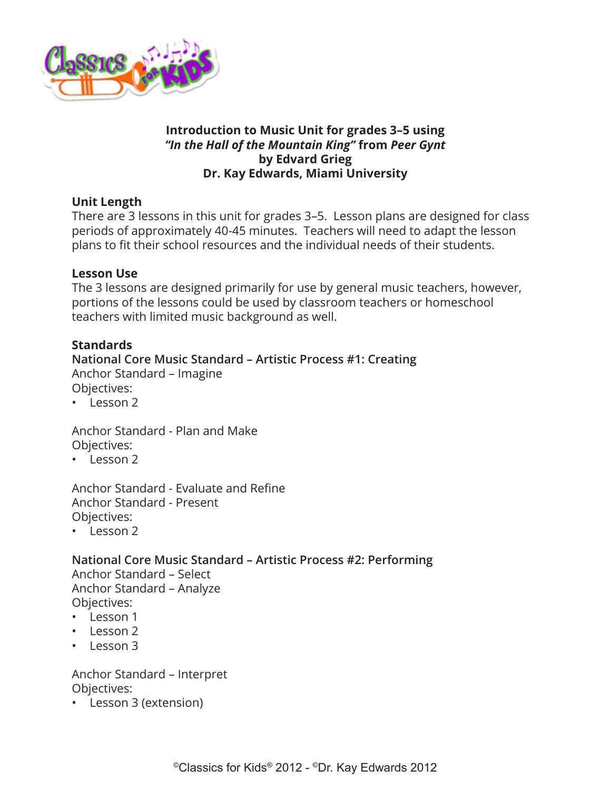

## **Introduction to Music Unit for grades 3–5 using**  *"In the Hall of the Mountain King"* **from** *Peer Gynt*  **by Edvard Grieg Dr. Kay Edwards, Miami University**

# **Unit Length**

There are 3 lessons in this unit for grades 3–5. Lesson plans are designed for class periods of approximately 40-45 minutes. Teachers will need to adapt the lesson plans to fit their school resources and the individual needs of their students.

## **Lesson Use**

The 3 lessons are designed primarily for use by general music teachers, however, portions of the lessons could be used by classroom teachers or homeschool teachers with limited music background as well.

## **Standards**

**National Core Music Standard – Artistic Process #1: Creating** Anchor Standard – Imagine Objectives:

• Lesson 2

Anchor Standard - Plan and Make Objectives:

• Lesson 2

Anchor Standard - Evaluate and Refine Anchor Standard - Present Objectives:

• Lesson 2

**National Core Music Standard – Artistic Process #2: Performing** Anchor Standard – Select

Anchor Standard – Analyze Objectives:

- Lesson 1
- Lesson 2
- Lesson 3

Anchor Standard – Interpret Objectives:

• Lesson 3 (extension)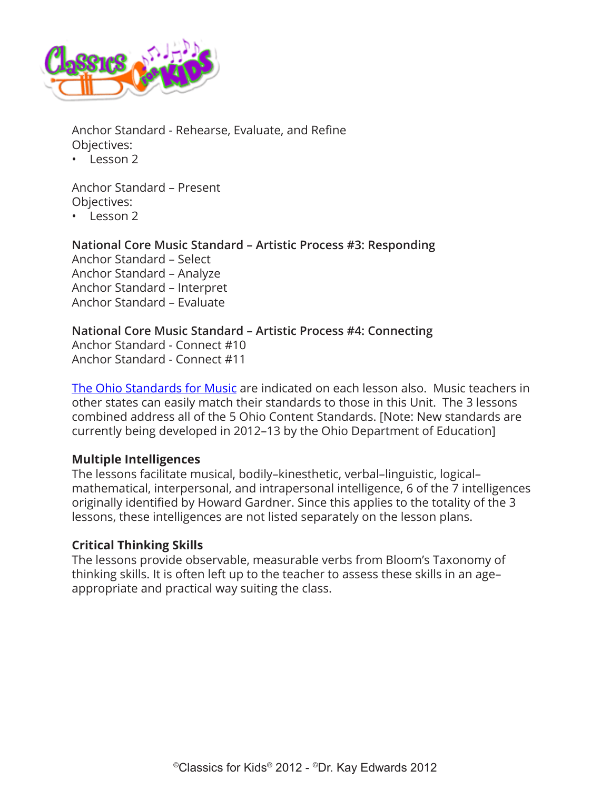

Anchor Standard - Rehearse, Evaluate, and Refine Objectives:

 $\cdot$  Lesson 2

Anchor Standard – Present Objectives:

• Lesson 2

**National Core Music Standard – Artistic Process #3: Responding** Anchor Standard – Select Anchor Standard – Analyze Anchor Standard – Interpret Anchor Standard – Evaluate

## **National Core Music Standard – Artistic Process #4: Connecting**

Anchor Standard - Connect #10 Anchor Standard - Connect #11

[The Ohio Standards for Music](http://www.ode.state.oh.us/GD/Templates/Pages/ODE/ODEdetail.aspx?page=3&TopicRelationID=1700&ContentID=1388&Content=110069) are indicated on each lesson also. Music teachers in other states can easily match their standards to those in this Unit. The 3 lessons combined address all of the 5 Ohio Content Standards. [Note: New standards are currently being developed in 2012–13 by the Ohio Department of Education]

## **Multiple Intelligences**

The lessons facilitate musical, bodily–kinesthetic, verbal–linguistic, logical– mathematical, interpersonal, and intrapersonal intelligence, 6 of the 7 intelligences originally identified by Howard Gardner. Since this applies to the totality of the 3 lessons, these intelligences are not listed separately on the lesson plans.

# **Critical Thinking Skills**

The lessons provide observable, measurable verbs from Bloom's Taxonomy of thinking skills. It is often left up to the teacher to assess these skills in an age– appropriate and practical way suiting the class.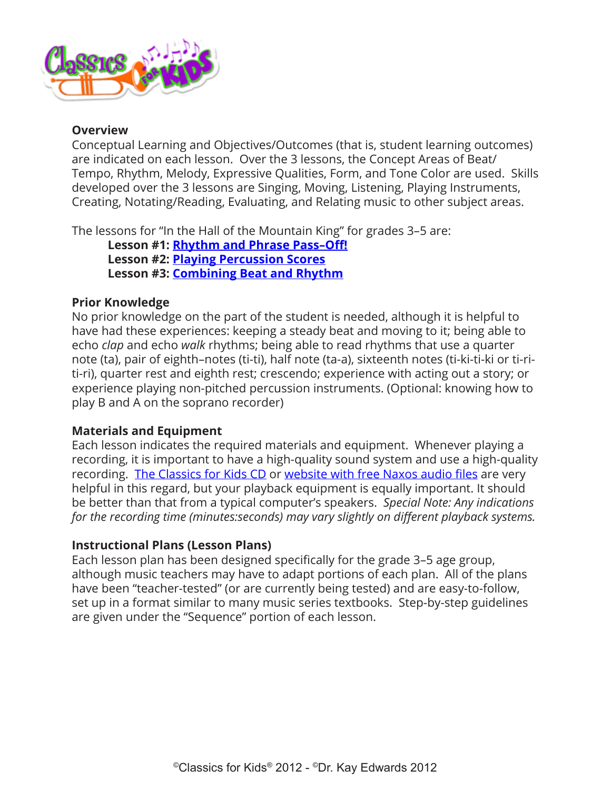

### **Overview**

Conceptual Learning and Objectives/Outcomes (that is, student learning outcomes) are indicated on each lesson. Over the 3 lessons, the Concept Areas of Beat/ Tempo, Rhythm, Melody, Expressive Qualities, Form, and Tone Color are used. Skills developed over the 3 lessons are Singing, Moving, Listening, Playing Instruments, Creating, Notating/Reading, Evaluating, and Relating music to other subject areas.

The lessons for "In the Hall of the Mountain King" for grades 3–5 are:

**Lesson #1: [Rhythm and Phrase Pass–Off!](#page-4-0) Lesson #2: [Playing Percussion Scores](#page-10-0) Lesson #3: [Combining Beat and Rhythm](#page-15-0)**

## **Prior Knowledge**

No prior knowledge on the part of the student is needed, although it is helpful to have had these experiences: keeping a steady beat and moving to it; being able to echo *clap* and echo *walk* rhythms; being able to read rhythms that use a quarter note (ta), pair of eighth–notes (ti-ti), half note (ta-a), sixteenth notes (ti-ki-ti-ki or ti-riti-ri), quarter rest and eighth rest; crescendo; experience with acting out a story; or experience playing non-pitched percussion instruments. (Optional: knowing how to play B and A on the soprano recorder)

## **Materials and Equipment**

Each lesson indicates the required materials and equipment. Whenever playing a recording, it is important to have a high-quality sound system and use a high-quality recording. [The Classics for Kids CD](https://secure2.convio.net/cpr/site/Ecommerce/390168608?VIEW_PRODUCT=true&product_id=1080&store_id=1101) or [website with free Naxos audio files](http://www.classicsforkids.com/music/) are very helpful in this regard, but your playback equipment is equally important. It should be better than that from a typical computer's speakers. *Special Note: Any indications for the recording time (minutes:seconds) may vary slightly on different playback systems.*

## **Instructional Plans (Lesson Plans)**

Each lesson plan has been designed specifically for the grade 3–5 age group, although music teachers may have to adapt portions of each plan. All of the plans have been "teacher-tested" (or are currently being tested) and are easy-to-follow, set up in a format similar to many music series textbooks. Step-by-step guidelines are given under the "Sequence" portion of each lesson.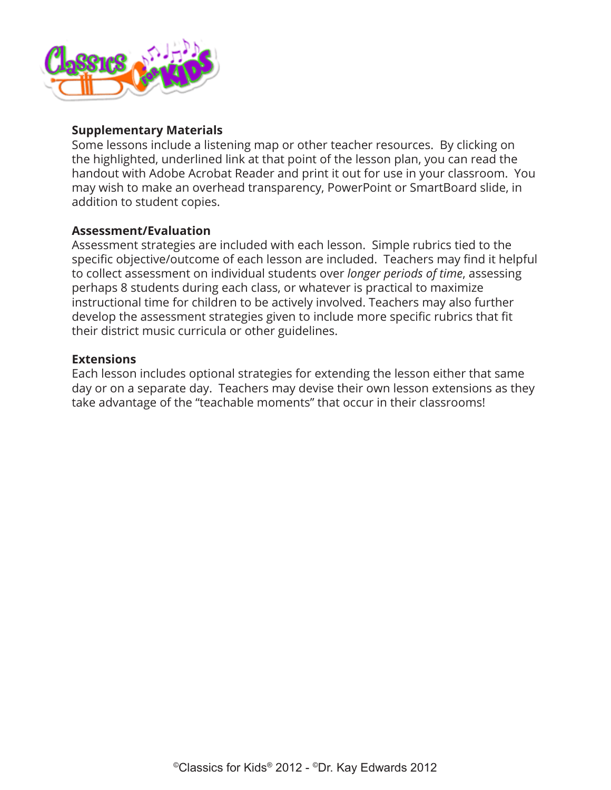

### **Supplementary Materials**

Some lessons include a listening map or other teacher resources. By clicking on the highlighted, underlined link at that point of the lesson plan, you can read the handout with Adobe Acrobat Reader and print it out for use in your classroom. You may wish to make an overhead transparency, PowerPoint or SmartBoard slide, in addition to student copies.

#### **Assessment/Evaluation**

Assessment strategies are included with each lesson. Simple rubrics tied to the specific objective/outcome of each lesson are included. Teachers may find it helpful to collect assessment on individual students over *longer periods of time*, assessing perhaps 8 students during each class, or whatever is practical to maximize instructional time for children to be actively involved. Teachers may also further develop the assessment strategies given to include more specific rubrics that fit their district music curricula or other guidelines.

#### **Extensions**

Each lesson includes optional strategies for extending the lesson either that same day or on a separate day. Teachers may devise their own lesson extensions as they take advantage of the "teachable moments" that occur in their classrooms!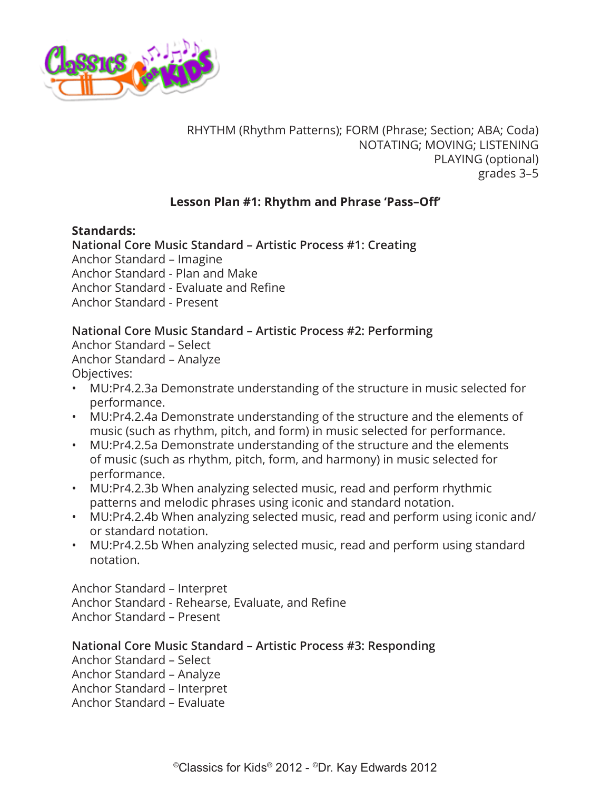<span id="page-4-0"></span>

RHYTHM (Rhythm Patterns); FORM (Phrase; Section; ABA; Coda) NOTATING; MOVING; LISTENING PLAYING (optional) grades 3–5

## **Lesson Plan #1: Rhythm and Phrase 'Pass–Off'**

#### **Standards:**

**National Core Music Standard – Artistic Process #1: Creating** Anchor Standard – Imagine Anchor Standard - Plan and Make Anchor Standard - Evaluate and Refine Anchor Standard - Present

## **National Core Music Standard – Artistic Process #2: Performing**

Anchor Standard – Select Anchor Standard – Analyze Objectives:

- MU:Pr4.2.3a Demonstrate understanding of the structure in music selected for performance.
- MU:Pr4.2.4a Demonstrate understanding of the structure and the elements of music (such as rhythm, pitch, and form) in music selected for performance.
- MU:Pr4.2.5a Demonstrate understanding of the structure and the elements of music (such as rhythm, pitch, form, and harmony) in music selected for performance.
- MU:Pr4.2.3b When analyzing selected music, read and perform rhythmic patterns and melodic phrases using iconic and standard notation.
- MU:Pr4.2.4b When analyzing selected music, read and perform using iconic and/ or standard notation.
- MU:Pr4.2.5b When analyzing selected music, read and perform using standard notation.

Anchor Standard – Interpret Anchor Standard - Rehearse, Evaluate, and Refine Anchor Standard – Present

**National Core Music Standard – Artistic Process #3: Responding**

Anchor Standard – Select

Anchor Standard – Analyze

Anchor Standard – Interpret

Anchor Standard – Evaluate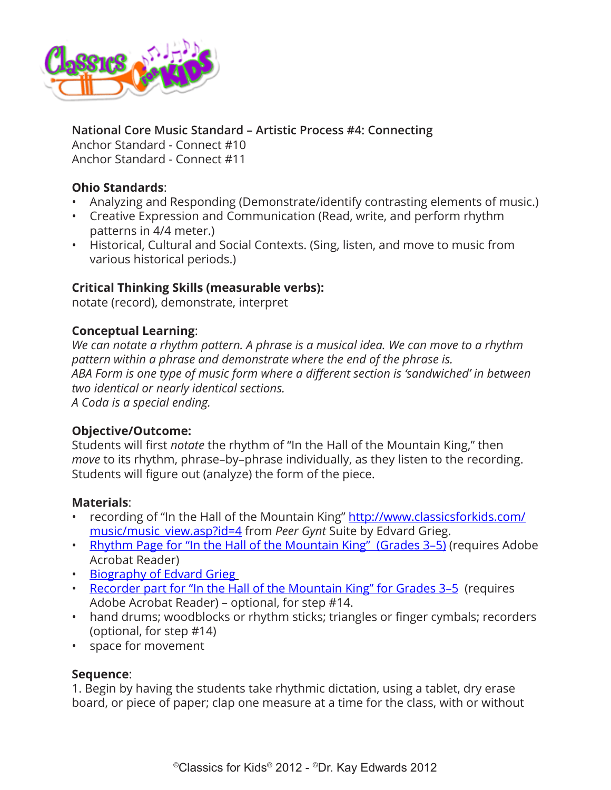

# **National Core Music Standard – Artistic Process #4: Connecting**

Anchor Standard - Connect #10 Anchor Standard - Connect #11

## **Ohio Standards**:

- Analyzing and Responding (Demonstrate/identify contrasting elements of music.)
- Creative Expression and Communication (Read, write, and perform rhythm patterns in 4/4 meter.)
- Historical, Cultural and Social Contexts. (Sing, listen, and move to music from various historical periods.)

## **Critical Thinking Skills (measurable verbs):**

notate (record), demonstrate, interpret

## **Conceptual Learning**:

*We can notate a rhythm pattern. A phrase is a musical idea. We can move to a rhythm pattern within a phrase and demonstrate where the end of the phrase is. ABA Form is one type of music form where a different section is 'sandwiched' in between two identical or nearly identical sections. A Coda is a special ending.*

#### **Objective/Outcome:**

Students will first *notate* the rhythm of "In the Hall of the Mountain King," then *move* to its rhythm, phrase–by–phrase individually, as they listen to the recording. Students will figure out (analyze) the form of the piece.

#### **Materials**:

- recording of "In the Hall of the Mountain King" [http://www.classicsforkids.com/](http://www.classicsforkids.com/composers/composer_profile.php?id=32) [music/music\\_view.asp?id=4](http://www.classicsforkids.com/composers/composer_profile.php?id=32) from *Peer Gynt* Suite by Edvard Grieg.
- Rhythm Page for "In the Hall of the Mountain King" (Grades 3-5) (requires Adobe Acrobat Reader)
- [Biography of Edvard Grieg](http://www.classicsforkids.com/composers/composer_profile.php?id=32)
- [Recorder part for "In the Hall of the Mountain King" for Grades 3–5](http://www.classicsforkids.com/downloads/grieg/Mountain King Recorder 3-5.pdf) (requires Adobe Acrobat Reader) – optional, for step #14.
- hand drums; woodblocks or rhythm sticks; triangles or finger cymbals; recorders (optional, for step #14)
- space for movement

## **Sequence**:

1. Begin by having the students take rhythmic dictation, using a tablet, dry erase board, or piece of paper; clap one measure at a time for the class, with or without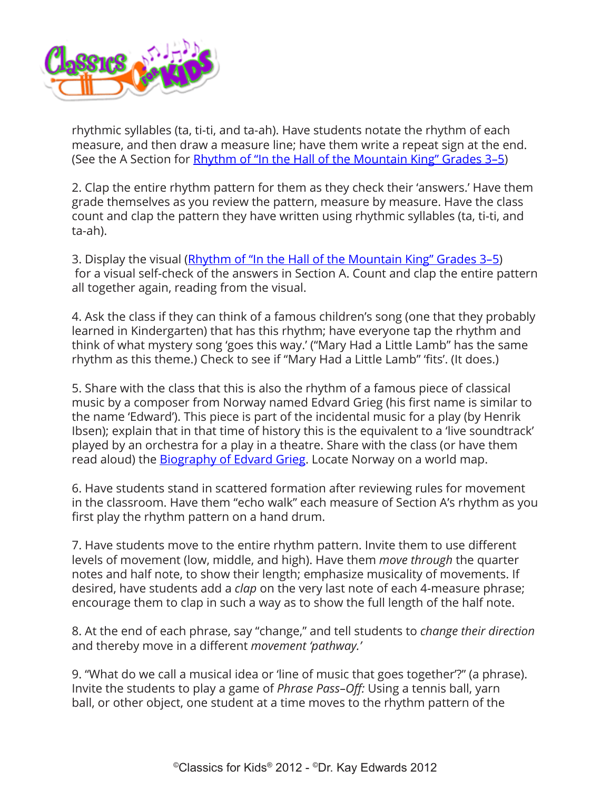

rhythmic syllables (ta, ti-ti, and ta-ah). Have students notate the rhythm of each measure, and then draw a measure line; have them write a repeat sign at the end. (See the A Section for Rhythm of "In the Hall of the Mountain King" Grades 3-5)

2. Clap the entire rhythm pattern for them as they check their 'answers.' Have them grade themselves as you review the pattern, measure by measure. Have the class count and clap the pattern they have written using rhythmic syllables (ta, ti-ti, and ta-ah).

3. Display the visual [\(Rhythm of "In the Hall of the Mountain King" Grades 3–5](http://www.classicsforkids.com/downloads/grieg/Mountain_King_for_3-5_Notation_AB.pdf)) for a visual self-check of the answers in Section A. Count and clap the entire pattern all together again, reading from the visual.

4. Ask the class if they can think of a famous children's song (one that they probably learned in Kindergarten) that has this rhythm; have everyone tap the rhythm and think of what mystery song 'goes this way.' ("Mary Had a Little Lamb" has the same rhythm as this theme.) Check to see if "Mary Had a Little Lamb" 'fits'. (It does.)

5. Share with the class that this is also the rhythm of a famous piece of classical music by a composer from Norway named Edvard Grieg (his first name is similar to the name 'Edward'). This piece is part of the incidental music for a play (by Henrik Ibsen); explain that in that time of history this is the equivalent to a 'live soundtrack' played by an orchestra for a play in a theatre. Share with the class (or have them read aloud) the [Biography of Edvard Grieg](http://www.classicsforkids.com/composers/composer_profile.php?id=32). Locate Norway on a world map.

6. Have students stand in scattered formation after reviewing rules for movement in the classroom. Have them "echo walk" each measure of Section A's rhythm as you first play the rhythm pattern on a hand drum.

7. Have students move to the entire rhythm pattern. Invite them to use different levels of movement (low, middle, and high). Have them *move through* the quarter notes and half note, to show their length; emphasize musicality of movements. If desired, have students add a *clap* on the very last note of each 4-measure phrase; encourage them to clap in such a way as to show the full length of the half note.

8. At the end of each phrase, say "change," and tell students to *change their direction* and thereby move in a different *movement 'pathway.'*

9. "What do we call a musical idea or 'line of music that goes together'?" (a phrase). Invite the students to play a game of *Phrase Pass–Off:* Using a tennis ball, yarn ball, or other object, one student at a time moves to the rhythm pattern of the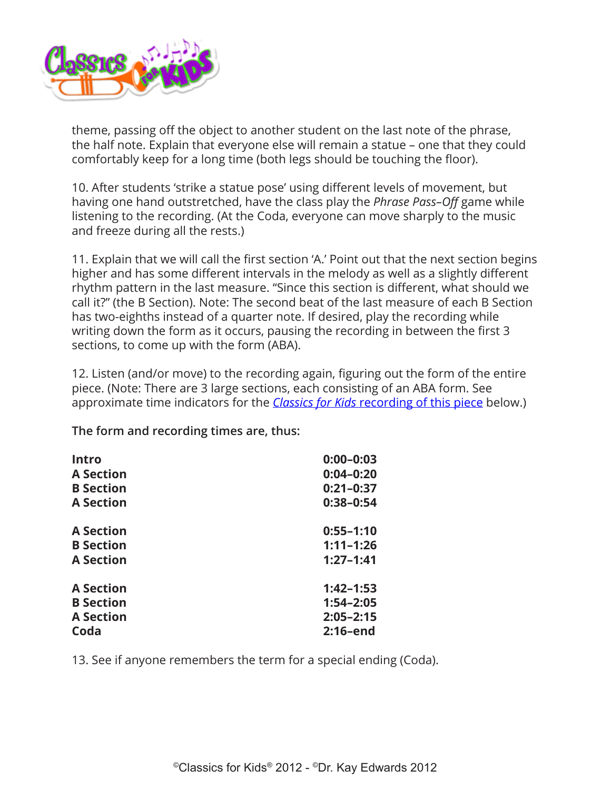

theme, passing off the object to another student on the last note of the phrase, the half note. Explain that everyone else will remain a statue – one that they could comfortably keep for a long time (both legs should be touching the floor).

10. After students 'strike a statue pose' using different levels of movement, but having one hand outstretched, have the class play the *Phrase Pass–Off* game while listening to the recording. (At the Coda, everyone can move sharply to the music and freeze during all the rests.)

11. Explain that we will call the first section 'A.' Point out that the next section begins higher and has some different intervals in the melody as well as a slightly different rhythm pattern in the last measure. "Since this section is different, what should we call it?" (the B Section). Note: The second beat of the last measure of each B Section has two-eighths instead of a quarter note. If desired, play the recording while writing down the form as it occurs, pausing the recording in between the first 3 sections, to come up with the form (ABA).

12. Listen (and/or move) to the recording again, figuring out the form of the entire piece. (Note: There are 3 large sections, each consisting of an ABA form. See approximate time indicators for the *Classics for Kids* [recording of this piece](http://www.classicsforkids.com/composers/composer_profile.php?id=32) below.)

**The form and recording times are, thus:**

| <b>Intro</b><br><b>A Section</b> | $0:00 - 0:03$<br>$0:04 - 0:20$ |
|----------------------------------|--------------------------------|
|                                  |                                |
| <b>A Section</b>                 | $0:38-0:54$                    |
| <b>A</b> Section                 | $0:55 - 1:10$                  |
| <b>B</b> Section                 | $1:11 - 1:26$                  |
| <b>A</b> Section                 | $1:27 - 1:41$                  |
| <b>A Section</b>                 | $1:42 - 1:53$                  |
| <b>B</b> Section                 | $1:54 - 2:05$                  |
| <b>A Section</b>                 | $2:05 - 2:15$                  |
| Coda                             | $2:16$ -end                    |

13. See if anyone remembers the term for a special ending (Coda).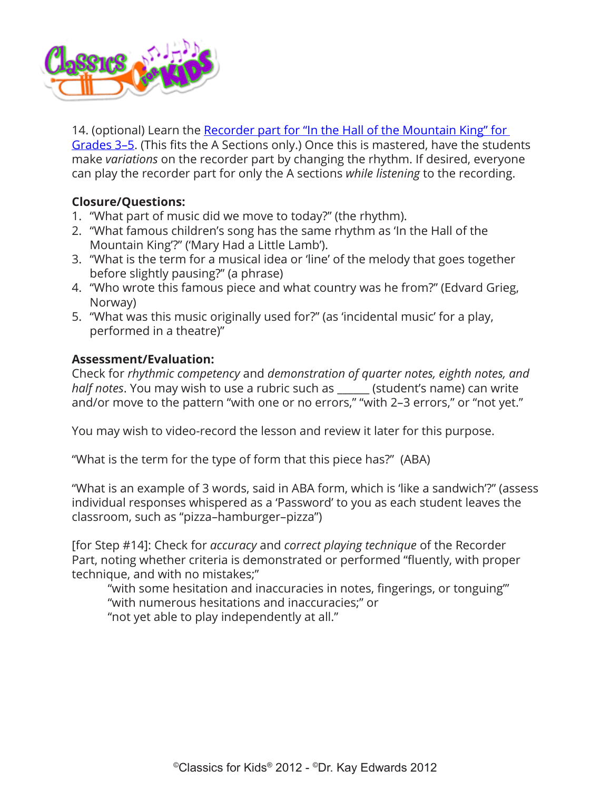

14. (optional) Learn the Recorder part for "In the Hall of the Mountain King" for [Grades 3–5.](http://www.classicsforkids.com/downloads/grieg/Mountain_King_for_3-5_Notation_AB.pdf) (This fits the A Sections only.) Once this is mastered, have the students make *variations* on the recorder part by changing the rhythm. If desired, everyone can play the recorder part for only the A sections *while listening* to the recording.

## **Closure/Questions:**

- 1. "What part of music did we move to today?" (the rhythm).
- 2. "What famous children's song has the same rhythm as 'In the Hall of the Mountain King'?" ('Mary Had a Little Lamb').
- 3. "What is the term for a musical idea or 'line' of the melody that goes together before slightly pausing?" (a phrase)
- 4. "Who wrote this famous piece and what country was he from?" (Edvard Grieg, Norway)
- 5. "What was this music originally used for?" (as 'incidental music' for a play, performed in a theatre)"

## **Assessment/Evaluation:**

Check for *rhythmic competency* and *demonstration of quarter notes, eighth notes, and half notes*. You may wish to use a rubric such as \_\_\_\_\_\_ (student's name) can write and/or move to the pattern "with one or no errors," "with 2–3 errors," or "not yet."

You may wish to video-record the lesson and review it later for this purpose.

"What is the term for the type of form that this piece has?" (ABA)

"What is an example of 3 words, said in ABA form, which is 'like a sandwich'?" (assess individual responses whispered as a 'Password' to you as each student leaves the classroom, such as "pizza–hamburger–pizza")

[for Step #14]: Check for *accuracy* and *correct playing technique* of the Recorder Part, noting whether criteria is demonstrated or performed "fluently, with proper technique, and with no mistakes;"

"with some hesitation and inaccuracies in notes, fingerings, or tonguing'" "with numerous hesitations and inaccuracies;" or "not yet able to play independently at all."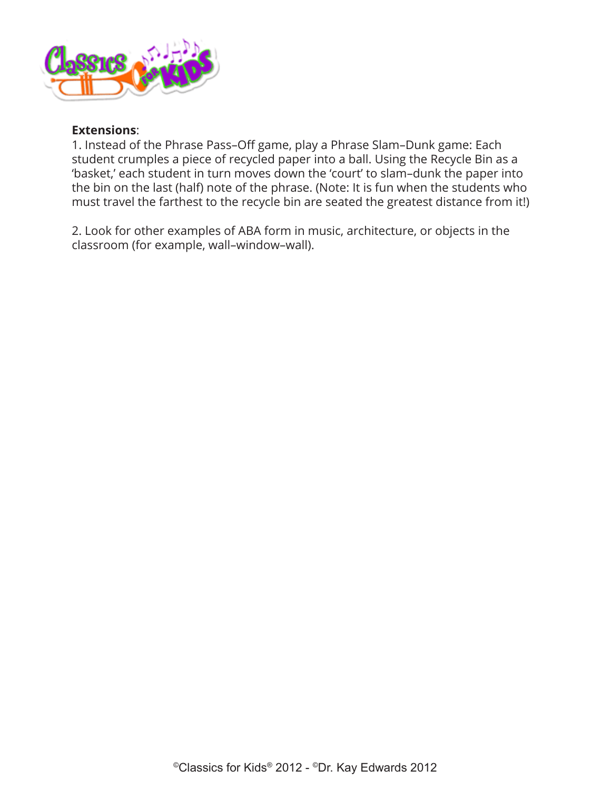

#### **Extensions**:

1. Instead of the Phrase Pass–Off game, play a Phrase Slam–Dunk game: Each student crumples a piece of recycled paper into a ball. Using the Recycle Bin as a 'basket,' each student in turn moves down the 'court' to slam–dunk the paper into the bin on the last (half) note of the phrase. (Note: It is fun when the students who must travel the farthest to the recycle bin are seated the greatest distance from it!)

2. Look for other examples of ABA form in music, architecture, or objects in the classroom (for example, wall–window–wall).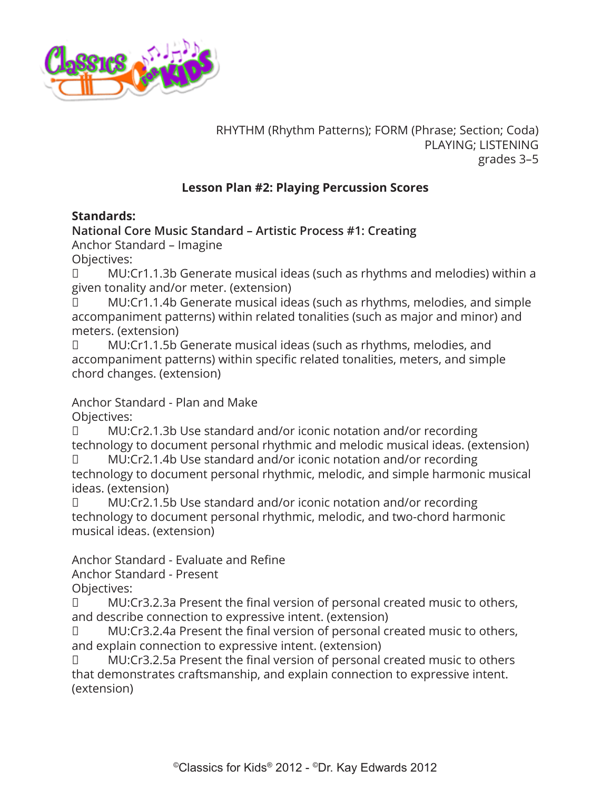<span id="page-10-0"></span>

RHYTHM (Rhythm Patterns); FORM (Phrase; Section; Coda) PLAYING; LISTENING grades 3–5

## **Lesson Plan #2: Playing Percussion Scores**

### **Standards:**

**National Core Music Standard – Artistic Process #1: Creating**

Anchor Standard – Imagine

Objectives:

□ MU:Cr1.1.3b Generate musical ideas (such as rhythms and melodies) within a given tonality and/or meter. (extension)

MU:Cr1.1.4b Generate musical ideas (such as rhythms, melodies, and simple accompaniment patterns) within related tonalities (such as major and minor) and meters. (extension)

□ MU:Cr1.1.5b Generate musical ideas (such as rhythms, melodies, and accompaniment patterns) within specific related tonalities, meters, and simple chord changes. (extension)

Anchor Standard - Plan and Make

Objectives:

□ MU:Cr2.1.3b Use standard and/or iconic notation and/or recording technology to document personal rhythmic and melodic musical ideas. (extension)

□ MU:Cr2.1.4b Use standard and/or iconic notation and/or recording technology to document personal rhythmic, melodic, and simple harmonic musical ideas. (extension)

□ MU:Cr2.1.5b Use standard and/or iconic notation and/or recording technology to document personal rhythmic, melodic, and two-chord harmonic musical ideas. (extension)

Anchor Standard - Evaluate and Refine

Anchor Standard - Present

Objectives:

□ MU:Cr3.2.3a Present the final version of personal created music to others, and describe connection to expressive intent. (extension)

MU:Cr3.2.4a Present the final version of personal created music to others, and explain connection to expressive intent. (extension)

□ MU:Cr3.2.5a Present the final version of personal created music to others that demonstrates craftsmanship, and explain connection to expressive intent. (extension)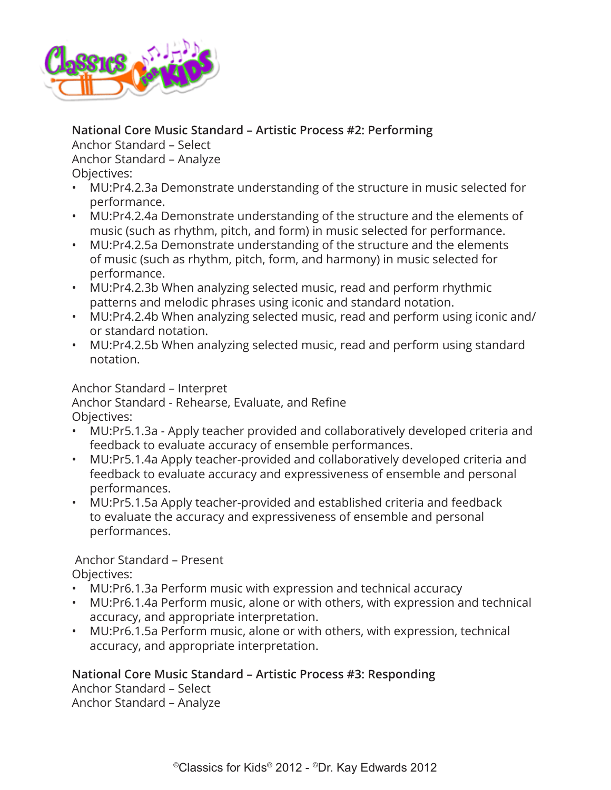

# **National Core Music Standard – Artistic Process #2: Performing**

Anchor Standard – Select Anchor Standard – Analyze

Objectives:

- MU:Pr4.2.3a Demonstrate understanding of the structure in music selected for performance.
- MU:Pr4.2.4a Demonstrate understanding of the structure and the elements of music (such as rhythm, pitch, and form) in music selected for performance.
- MU:Pr4.2.5a Demonstrate understanding of the structure and the elements of music (such as rhythm, pitch, form, and harmony) in music selected for performance.
- MU:Pr4.2.3b When analyzing selected music, read and perform rhythmic patterns and melodic phrases using iconic and standard notation.
- MU:Pr4.2.4b When analyzing selected music, read and perform using iconic and/ or standard notation.
- MU:Pr4.2.5b When analyzing selected music, read and perform using standard notation.

Anchor Standard – Interpret

Anchor Standard - Rehearse, Evaluate, and Refine Objectives:

- MU:Pr5.1.3a Apply teacher provided and collaboratively developed criteria and feedback to evaluate accuracy of ensemble performances.
- MU:Pr5.1.4a Apply teacher-provided and collaboratively developed criteria and feedback to evaluate accuracy and expressiveness of ensemble and personal performances.
- MU:Pr5.1.5a Apply teacher-provided and established criteria and feedback to evaluate the accuracy and expressiveness of ensemble and personal performances.

 Anchor Standard – Present Objectives:

- MU:Pr6.1.3a Perform music with expression and technical accuracy
- MU:Pr6.1.4a Perform music, alone or with others, with expression and technical accuracy, and appropriate interpretation.
- MU:Pr6.1.5a Perform music, alone or with others, with expression, technical accuracy, and appropriate interpretation.

# **National Core Music Standard – Artistic Process #3: Responding**

Anchor Standard – Select Anchor Standard – Analyze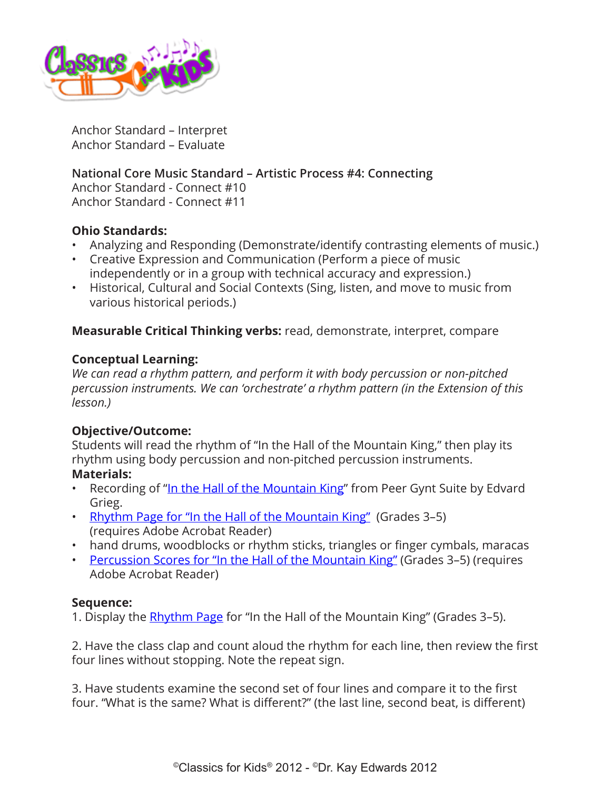

Anchor Standard – Interpret Anchor Standard – Evaluate

**National Core Music Standard – Artistic Process #4: Connecting**

Anchor Standard - Connect #10 Anchor Standard - Connect #11

## **Ohio Standards:**

- Analyzing and Responding (Demonstrate/identify contrasting elements of music.)
- Creative Expression and Communication (Perform a piece of music independently or in a group with technical accuracy and expression.)
- Historical, Cultural and Social Contexts (Sing, listen, and move to music from various historical periods.)

**Measurable Critical Thinking verbs:** read, demonstrate, interpret, compare

#### **Conceptual Learning:**

*We can read a rhythm pattern, and perform it with body percussion or non-pitched percussion instruments. We can 'orchestrate' a rhythm pattern (in the Extension of this lesson.)*

## **Objective/Outcome:**

Students will read the rhythm of "In the Hall of the Mountain King," then play its rhythm using body percussion and non-pitched percussion instruments.

- **Materials:**
- Recording of "[In the Hall of the Mountain King"](http://www.classicsforkids.com/composers/composer_profile.php?id=32) from Peer Gynt Suite by Edvard Grieg.
- [Rhythm Page for "In the Hall of the Mountain King"](http://www.classicsforkids.com/downloads/grieg/Mountain_King_for_3-5_Notation_AB.pdf) (Grades 3-5) (requires Adobe Acrobat Reader)
- hand drums, woodblocks or rhythm sticks, triangles or finger cymbals, maracas
- [Percussion Scores for "In the Hall of the Mountain King"](http://www.classicsforkids.com/downloads/grieg/Mountain_King_Percussion_Scores_AB.pdf) (Grades 3–5) (requires Adobe Acrobat Reader)

#### **Sequence:**

1. Display the **Rhythm Page** for "In the Hall of the Mountain King" (Grades 3–5).

2. Have the class clap and count aloud the rhythm for each line, then review the first four lines without stopping. Note the repeat sign.

3. Have students examine the second set of four lines and compare it to the first four. "What is the same? What is different?" (the last line, second beat, is different)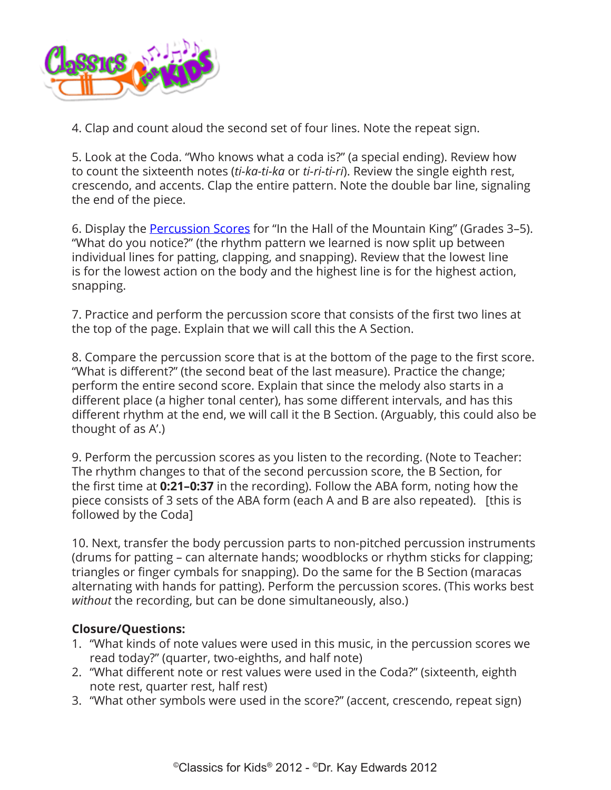

4. Clap and count aloud the second set of four lines. Note the repeat sign.

5. Look at the Coda. "Who knows what a coda is?" (a special ending). Review how to count the sixteenth notes (*ti-ka-ti-ka* or *ti-ri-ti-ri*). Review the single eighth rest, crescendo, and accents. Clap the entire pattern. Note the double bar line, signaling the end of the piece.

6. Display the [Percussion Scores](http://www.classicsforkids.com/downloads/grieg/Mountain_King_Percussion_Scores_AB.pdf) for "In the Hall of the Mountain King" (Grades 3–5). "What do you notice?" (the rhythm pattern we learned is now split up between individual lines for patting, clapping, and snapping). Review that the lowest line is for the lowest action on the body and the highest line is for the highest action, snapping.

7. Practice and perform the percussion score that consists of the first two lines at the top of the page. Explain that we will call this the A Section.

8. Compare the percussion score that is at the bottom of the page to the first score. "What is different?" (the second beat of the last measure). Practice the change; perform the entire second score. Explain that since the melody also starts in a different place (a higher tonal center), has some different intervals, and has this different rhythm at the end, we will call it the B Section. (Arguably, this could also be thought of as A'.)

9. Perform the percussion scores as you listen to the recording. (Note to Teacher: The rhythm changes to that of the second percussion score, the B Section, for the first time at **0:21–0:37** in the recording). Follow the ABA form, noting how the piece consists of 3 sets of the ABA form (each A and B are also repeated). [this is followed by the Coda]

10. Next, transfer the body percussion parts to non-pitched percussion instruments (drums for patting – can alternate hands; woodblocks or rhythm sticks for clapping; triangles or finger cymbals for snapping). Do the same for the B Section (maracas alternating with hands for patting). Perform the percussion scores. (This works best *without* the recording, but can be done simultaneously, also.)

## **Closure/Questions:**

- 1. "What kinds of note values were used in this music, in the percussion scores we read today?" (quarter, two-eighths, and half note)
- 2. "What different note or rest values were used in the Coda?" (sixteenth, eighth note rest, quarter rest, half rest)
- 3. "What other symbols were used in the score?" (accent, crescendo, repeat sign)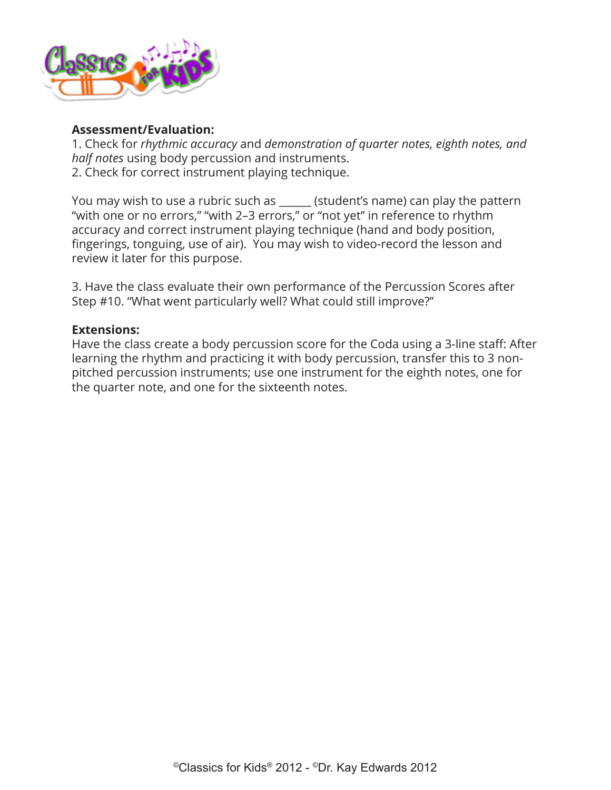

#### **Assessment/Evaluation:**

1. Check for *rhythmic accuracy* and *demonstration of quarter notes, eighth notes, and half notes* using body percussion and instruments. 2. Check for correct instrument playing technique.

You may wish to use a rubric such as \_\_\_\_\_\_ (student's name) can play the pattern "with one or no errors," "with 2–3 errors," or "not yet" in reference to rhythm accuracy and correct instrument playing technique (hand and body position, fingerings, tonguing, use of air). You may wish to video-record the lesson and review it later for this purpose.

3. Have the class evaluate their own performance of the Percussion Scores after Step #10. "What went particularly well? What could still improve?"

### **Extensions:**

Have the class create a body percussion score for the Coda using a 3-line staff: After learning the rhythm and practicing it with body percussion, transfer this to 3 nonpitched percussion instruments; use one instrument for the eighth notes, one for the quarter note, and one for the sixteenth notes.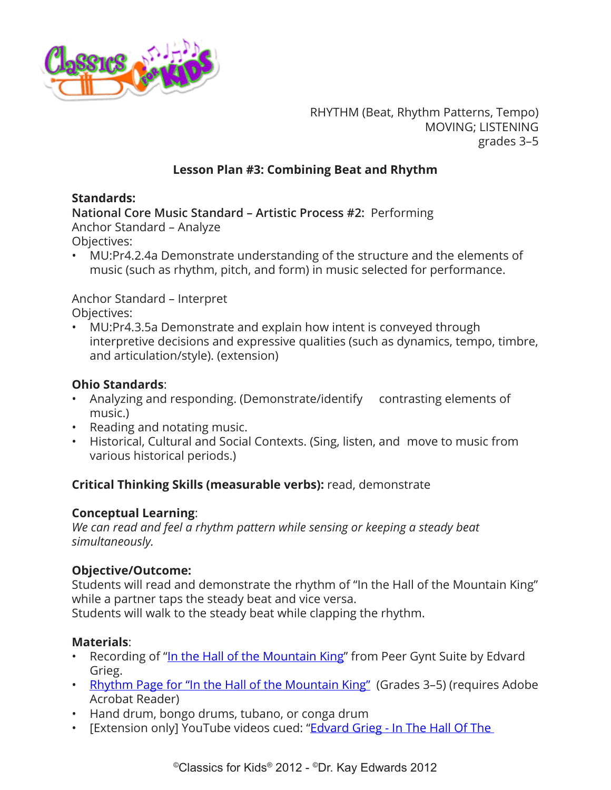<span id="page-15-0"></span>

RHYTHM (Beat, Rhythm Patterns, Tempo) MOVING; LISTENING grades 3–5

# **Lesson Plan #3: Combining Beat and Rhythm**

## **Standards:**

**National Core Music Standard – Artistic Process #2:** Performing Anchor Standard – Analyze

Objectives:

• MU:Pr4.2.4a Demonstrate understanding of the structure and the elements of music (such as rhythm, pitch, and form) in music selected for performance.

Anchor Standard – Interpret Objectives:

• MU:Pr4.3.5a Demonstrate and explain how intent is conveyed through interpretive decisions and expressive qualities (such as dynamics, tempo, timbre, and articulation/style). (extension)

# **Ohio Standards**:

- Analyzing and responding. (Demonstrate/identify contrasting elements of music.)
- Reading and notating music.
- Historical, Cultural and Social Contexts. (Sing, listen, and move to music from various historical periods.)

# **Critical Thinking Skills (measurable verbs):** read, demonstrate

## **Conceptual Learning**:

*We can read and feel a rhythm pattern while sensing or keeping a steady beat simultaneously.* 

# **Objective/Outcome:**

Students will read and demonstrate the rhythm of "In the Hall of the Mountain King" while a partner taps the steady beat and vice versa.

Students will walk to the steady beat while clapping the rhythm.

# **Materials**:

- Recording of "[In the Hall of the Mountain King"](http://www.classicsforkids.com/composers/composer_profile.php?id=32) from Peer Gynt Suite by Edvard Grieg.
- [Rhythm Page for "In the Hall of the Mountain King"](http://www.classicsforkids.com/downloads/grieg/Mountain_King_for_3-5_Notation_AB.pdf) (Grades 3-5) (requires Adobe Acrobat Reader)
- Hand drum, bongo drums, tubano, or conga drum
- [Extension only] YouTube videos cued: "**Edvard Grieg In The Hall Of The**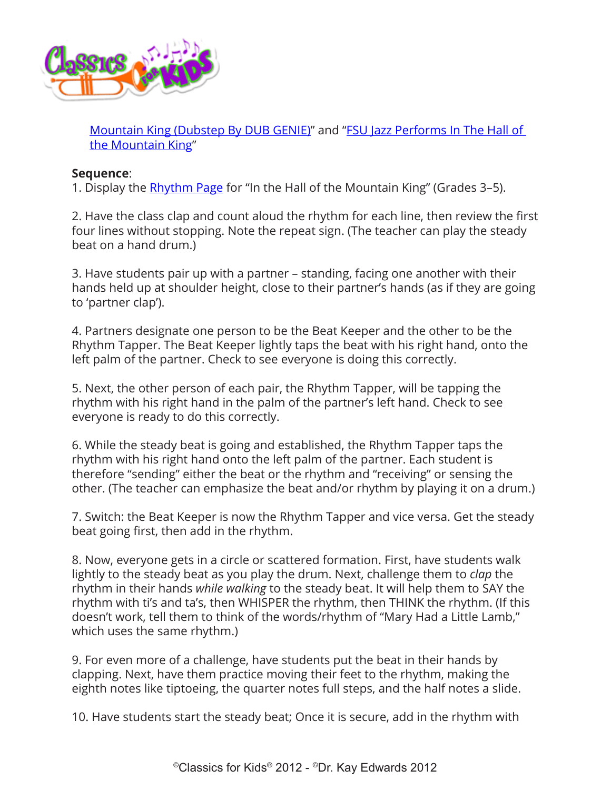

[Mountain King \(Dubstep By DUB GENIE\)](https://www.youtube.com/watch?v=mt4tL971TdI)" and ["FSU Jazz Performs In The Hall of](https://www.youtube.com/watch?v=aF_3ANFEqRg)  [the Mountain King"](https://www.youtube.com/watch?v=aF_3ANFEqRg)

### **Sequence**:

1. Display the **Rhythm Page** for "In the Hall of the Mountain King" (Grades 3–5).

2. Have the class clap and count aloud the rhythm for each line, then review the first four lines without stopping. Note the repeat sign. (The teacher can play the steady beat on a hand drum.)

3. Have students pair up with a partner – standing, facing one another with their hands held up at shoulder height, close to their partner's hands (as if they are going to 'partner clap').

4. Partners designate one person to be the Beat Keeper and the other to be the Rhythm Tapper. The Beat Keeper lightly taps the beat with his right hand, onto the left palm of the partner. Check to see everyone is doing this correctly.

5. Next, the other person of each pair, the Rhythm Tapper, will be tapping the rhythm with his right hand in the palm of the partner's left hand. Check to see everyone is ready to do this correctly.

6. While the steady beat is going and established, the Rhythm Tapper taps the rhythm with his right hand onto the left palm of the partner. Each student is therefore "sending" either the beat or the rhythm and "receiving" or sensing the other. (The teacher can emphasize the beat and/or rhythm by playing it on a drum.)

7. Switch: the Beat Keeper is now the Rhythm Tapper and vice versa. Get the steady beat going first, then add in the rhythm.

8. Now, everyone gets in a circle or scattered formation. First, have students walk lightly to the steady beat as you play the drum. Next, challenge them to *clap* the rhythm in their hands *while walking* to the steady beat. It will help them to SAY the rhythm with ti's and ta's, then WHISPER the rhythm, then THINK the rhythm. (If this doesn't work, tell them to think of the words/rhythm of "Mary Had a Little Lamb," which uses the same rhythm.)

9. For even more of a challenge, have students put the beat in their hands by clapping. Next, have them practice moving their feet to the rhythm, making the eighth notes like tiptoeing, the quarter notes full steps, and the half notes a slide.

10. Have students start the steady beat; Once it is secure, add in the rhythm with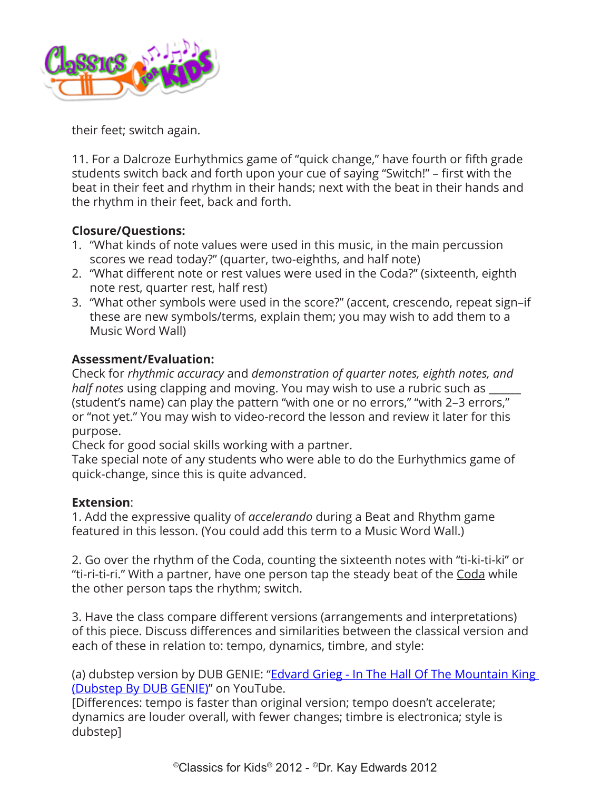

their feet; switch again.

11. For a Dalcroze Eurhythmics game of "quick change," have fourth or fifth grade students switch back and forth upon your cue of saying "Switch!" – first with the beat in their feet and rhythm in their hands; next with the beat in their hands and the rhythm in their feet, back and forth.

## **Closure/Questions:**

- 1. "What kinds of note values were used in this music, in the main percussion scores we read today?" (quarter, two-eighths, and half note)
- 2. "What different note or rest values were used in the Coda?" (sixteenth, eighth note rest, quarter rest, half rest)
- 3. "What other symbols were used in the score?" (accent, crescendo, repeat sign–if these are new symbols/terms, explain them; you may wish to add them to a Music Word Wall)

# **Assessment/Evaluation:**

Check for *rhythmic accuracy* and *demonstration of quarter notes, eighth notes, and half notes* using clapping and moving. You may wish to use a rubric such as \_\_\_\_\_\_ (student's name) can play the pattern "with one or no errors," "with 2–3 errors," or "not yet." You may wish to video-record the lesson and review it later for this purpose.

Check for good social skills working with a partner.

Take special note of any students who were able to do the Eurhythmics game of quick-change, since this is quite advanced.

## **Extension**:

1. Add the expressive quality of *accelerando* during a Beat and Rhythm game featured in this lesson. (You could add this term to a Music Word Wall.)

2. Go over the rhythm of the Coda, counting the sixteenth notes with "ti-ki-ti-ki" or "ti-ri-ti-ri." With a partner, have one person tap the steady beat of the Coda while the other person taps the rhythm; switch.

3. Have the class compare different versions (arrangements and interpretations) of this piece. Discuss differences and similarities between the classical version and each of these in relation to: tempo, dynamics, timbre, and style:

(a) dubstep version by DUB GENIE: "Edvard Grieg - In The Hall Of The Mountain King [\(Dubstep By DUB GENIE\)](https://www.youtube.com/watch?v=mt4tL971TdI)" on YouTube.

[Differences: tempo is faster than original version; tempo doesn't accelerate; dynamics are louder overall, with fewer changes; timbre is electronica; style is dubstep]